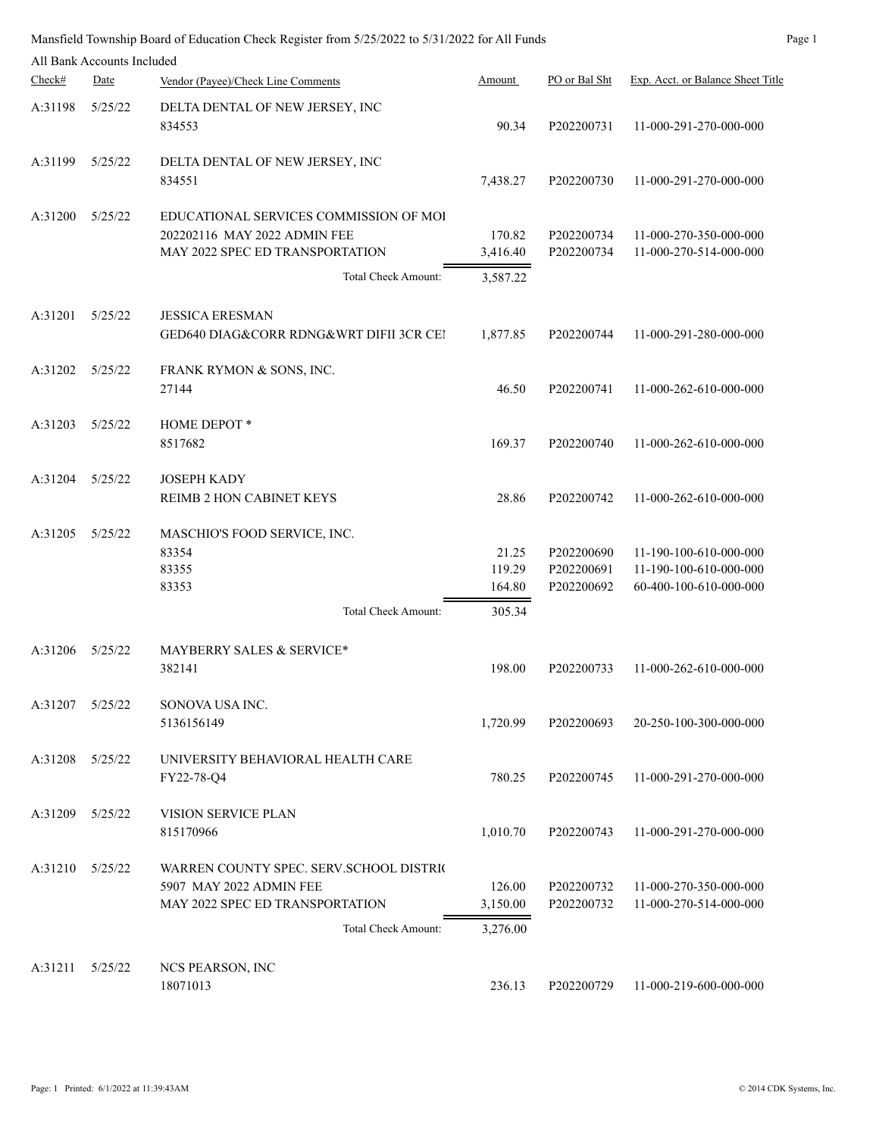|         | All Bank Accounts Included |                                                                                                                                  |                                |                                        |                                                                            |
|---------|----------------------------|----------------------------------------------------------------------------------------------------------------------------------|--------------------------------|----------------------------------------|----------------------------------------------------------------------------|
| Check#  | Date                       | Vendor (Payee)/Check Line Comments                                                                                               | Amount                         | PO or Bal Sht                          | Exp. Acct. or Balance Sheet Title                                          |
| A:31198 | 5/25/22                    | DELTA DENTAL OF NEW JERSEY, INC<br>834553                                                                                        | 90.34                          | P202200731                             | 11-000-291-270-000-000                                                     |
| A:31199 | 5/25/22                    | DELTA DENTAL OF NEW JERSEY, INC<br>834551                                                                                        | 7,438.27                       | P202200730                             | 11-000-291-270-000-000                                                     |
| A:31200 | 5/25/22                    | EDUCATIONAL SERVICES COMMISSION OF MOI<br>202202116 MAY 2022 ADMIN FEE<br>MAY 2022 SPEC ED TRANSPORTATION<br>Total Check Amount: | 170.82<br>3,416.40<br>3,587.22 | P202200734<br>P202200734               | 11-000-270-350-000-000<br>11-000-270-514-000-000                           |
| A:31201 | 5/25/22                    | <b>JESSICA ERESMAN</b><br>GED640 DIAG&CORR RDNG&WRT DIFII 3CR CEI                                                                | 1,877.85                       | P202200744                             | 11-000-291-280-000-000                                                     |
| A:31202 | 5/25/22                    | FRANK RYMON & SONS, INC.<br>27144                                                                                                | 46.50                          | P202200741                             | 11-000-262-610-000-000                                                     |
| A:31203 | 5/25/22                    | <b>HOME DEPOT*</b><br>8517682                                                                                                    | 169.37                         | P202200740                             | 11-000-262-610-000-000                                                     |
| A:31204 | 5/25/22                    | <b>JOSEPH KADY</b><br>REIMB 2 HON CABINET KEYS                                                                                   | 28.86                          | P202200742                             | 11-000-262-610-000-000                                                     |
| A:31205 | 5/25/22                    | MASCHIO'S FOOD SERVICE, INC.<br>83354<br>83355<br>83353                                                                          | 21.25<br>119.29<br>164.80      | P202200690<br>P202200691<br>P202200692 | 11-190-100-610-000-000<br>11-190-100-610-000-000<br>60-400-100-610-000-000 |
|         |                            | Total Check Amount:                                                                                                              | 305.34                         |                                        |                                                                            |
| A:31206 | 5/25/22                    | MAYBERRY SALES & SERVICE*<br>382141                                                                                              | 198.00                         | P202200733                             | 11-000-262-610-000-000                                                     |
| A:31207 | 5/25/22                    | SONOVA USA INC.<br>5136156149                                                                                                    | 1,720.99                       | P202200693                             | 20-250-100-300-000-000                                                     |
| A:31208 | 5/25/22                    | UNIVERSITY BEHAVIORAL HEALTH CARE<br>FY22-78-Q4                                                                                  | 780.25                         | P202200745                             | 11-000-291-270-000-000                                                     |
| A:31209 | 5/25/22                    | VISION SERVICE PLAN<br>815170966                                                                                                 | 1,010.70                       | P202200743                             | 11-000-291-270-000-000                                                     |
| A:31210 | 5/25/22                    | WARREN COUNTY SPEC. SERV.SCHOOL DISTRIC<br>5907 MAY 2022 ADMIN FEE<br>MAY 2022 SPEC ED TRANSPORTATION<br>Total Check Amount:     | 126.00<br>3,150.00             | P202200732<br>P202200732               | 11-000-270-350-000-000<br>11-000-270-514-000-000                           |
|         |                            |                                                                                                                                  | 3,276.00                       |                                        |                                                                            |
| A:31211 | 5/25/22                    | NCS PEARSON, INC<br>18071013                                                                                                     | 236.13                         | P202200729                             | 11-000-219-600-000-000                                                     |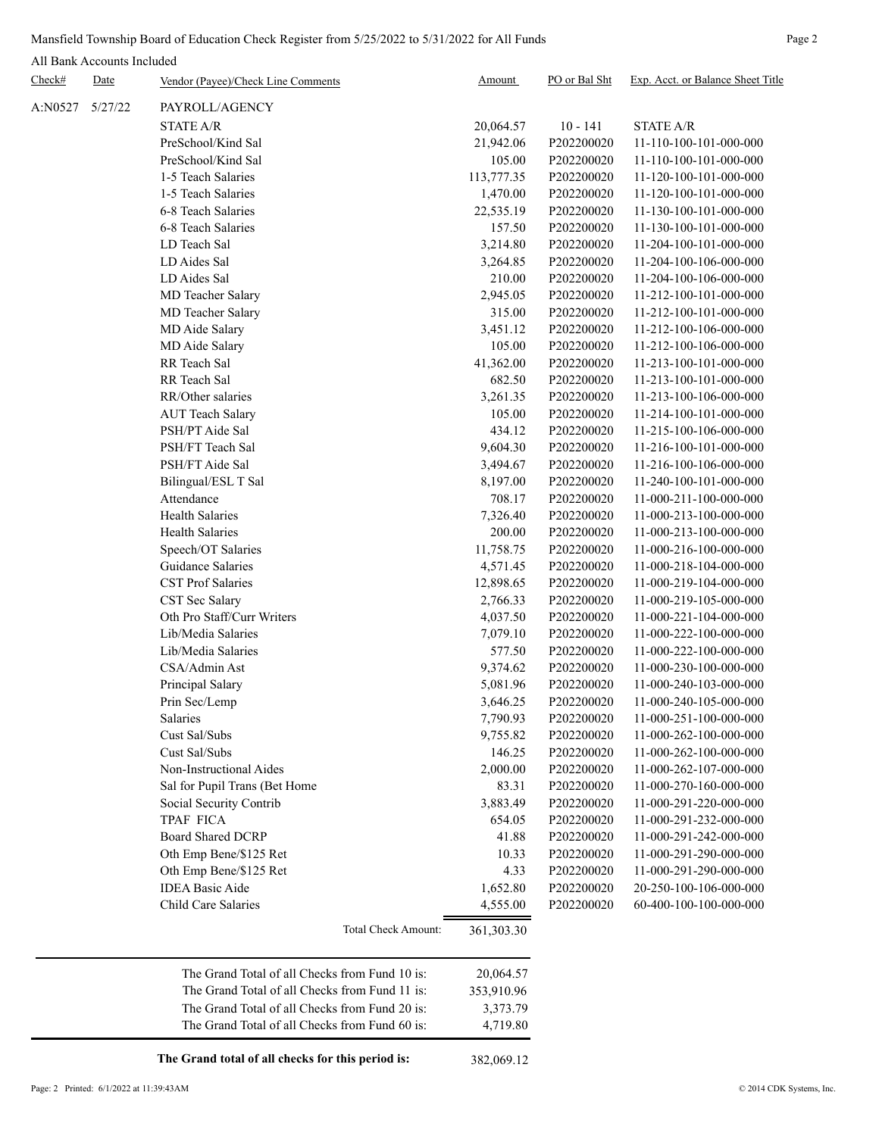## Mansfield Township Board of Education Check Register from 5/25/2022 to 5/31/2022 for All Funds Page 2

All Bank Accounts Included

| Check#  | Date    | Vendor (Payee)/Check Line Comments                       | Amount     | PO or Bal Sht            | Exp. Acct. or Balance Sheet Title                |
|---------|---------|----------------------------------------------------------|------------|--------------------------|--------------------------------------------------|
| A:N0527 | 5/27/22 | PAYROLL/AGENCY                                           |            |                          |                                                  |
|         |         | <b>STATE A/R</b>                                         | 20,064.57  | $10 - 141$               | <b>STATE A/R</b>                                 |
|         |         | PreSchool/Kind Sal                                       | 21,942.06  | P202200020               | 11-110-100-101-000-000                           |
|         |         | PreSchool/Kind Sal                                       | 105.00     | P202200020               | 11-110-100-101-000-000                           |
|         |         | 1-5 Teach Salaries                                       | 113,777.35 | P202200020               | 11-120-100-101-000-000                           |
|         |         | 1-5 Teach Salaries                                       | 1,470.00   | P202200020               | 11-120-100-101-000-000                           |
|         |         | 6-8 Teach Salaries                                       | 22,535.19  | P202200020               | 11-130-100-101-000-000                           |
|         |         | 6-8 Teach Salaries                                       | 157.50     | P202200020               | 11-130-100-101-000-000                           |
|         |         | LD Teach Sal                                             | 3,214.80   | P202200020               | 11-204-100-101-000-000                           |
|         |         | LD Aides Sal                                             | 3,264.85   | P202200020               | 11-204-100-106-000-000                           |
|         |         | LD Aides Sal                                             | 210.00     | P202200020               | 11-204-100-106-000-000                           |
|         |         | MD Teacher Salary                                        | 2,945.05   | P202200020               | 11-212-100-101-000-000                           |
|         |         | MD Teacher Salary                                        | 315.00     | P202200020               | 11-212-100-101-000-000                           |
|         |         | MD Aide Salary                                           | 3,451.12   | P202200020               | 11-212-100-106-000-000                           |
|         |         | MD Aide Salary                                           | 105.00     | P202200020               | 11-212-100-106-000-000                           |
|         |         | RR Teach Sal                                             | 41,362.00  | P202200020               | 11-213-100-101-000-000                           |
|         |         | RR Teach Sal                                             | 682.50     | P202200020               | 11-213-100-101-000-000                           |
|         |         | RR/Other salaries                                        | 3,261.35   | P202200020               | 11-213-100-106-000-000                           |
|         |         | <b>AUT Teach Salary</b>                                  | 105.00     | P202200020               | 11-214-100-101-000-000                           |
|         |         | PSH/PT Aide Sal                                          | 434.12     | P202200020               | 11-215-100-106-000-000                           |
|         |         | PSH/FT Teach Sal                                         | 9,604.30   | P202200020               | 11-216-100-101-000-000                           |
|         |         | PSH/FT Aide Sal                                          | 3,494.67   | P202200020               | 11-216-100-106-000-000                           |
|         |         | Bilingual/ESL T Sal                                      | 8,197.00   | P202200020               | 11-240-100-101-000-000                           |
|         |         | Attendance                                               | 708.17     | P202200020               | 11-000-211-100-000-000                           |
|         |         | <b>Health Salaries</b>                                   | 7,326.40   | P202200020               | 11-000-213-100-000-000                           |
|         |         | <b>Health Salaries</b>                                   | 200.00     | P202200020               | 11-000-213-100-000-000                           |
|         |         | Speech/OT Salaries                                       | 11,758.75  | P202200020               | 11-000-216-100-000-000                           |
|         |         | Guidance Salaries                                        | 4,571.45   | P202200020               | 11-000-218-104-000-000                           |
|         |         | <b>CST Prof Salaries</b>                                 | 12,898.65  | P202200020               | 11-000-219-104-000-000                           |
|         |         | CST Sec Salary                                           | 2,766.33   | P202200020               | 11-000-219-105-000-000                           |
|         |         | Oth Pro Staff/Curr Writers                               | 4,037.50   | P202200020               | 11-000-221-104-000-000                           |
|         |         | Lib/Media Salaries                                       | 7,079.10   | P202200020               | 11-000-222-100-000-000                           |
|         |         | Lib/Media Salaries                                       | 577.50     | P202200020               | 11-000-222-100-000-000                           |
|         |         | CSA/Admin Ast                                            | 9,374.62   | P202200020               | 11-000-230-100-000-000                           |
|         |         | Principal Salary                                         | 5,081.96   | P202200020               | 11-000-240-103-000-000                           |
|         |         | Prin Sec/Lemp                                            | 3,646.25   | P202200020               | 11-000-240-105-000-000                           |
|         |         | Salaries                                                 | 7,790.93   | P202200020               | 11-000-251-100-000-000                           |
|         |         | Cust Sal/Subs                                            | 9,755.82   | P202200020               | 11-000-262-100-000-000                           |
|         |         | Cust Sal/Subs                                            | 146.25     | P202200020               | 11-000-262-100-000-000                           |
|         |         | Non-Instructional Aides                                  | 2,000.00   | P202200020               | 11-000-262-107-000-000                           |
|         |         |                                                          | 83.31      | P202200020               | 11-000-270-160-000-000                           |
|         |         | Sal for Pupil Trans (Bet Home<br>Social Security Contrib | 3,883.49   | P202200020               | 11-000-291-220-000-000                           |
|         |         | TPAF FICA                                                | 654.05     | P202200020               | 11-000-291-232-000-000                           |
|         |         | <b>Board Shared DCRP</b>                                 |            | P202200020               |                                                  |
|         |         |                                                          | 41.88      |                          | 11-000-291-242-000-000                           |
|         |         | Oth Emp Bene/\$125 Ret                                   | 10.33      | P202200020<br>P202200020 | 11-000-291-290-000-000<br>11-000-291-290-000-000 |
|         |         | Oth Emp Bene/\$125 Ret<br><b>IDEA Basic Aide</b>         | 4.33       |                          | 20-250-100-106-000-000                           |
|         |         |                                                          | 1,652.80   | P202200020               |                                                  |
|         |         | Child Care Salaries                                      | 4,555.00   | P202200020               | 60-400-100-100-000-000                           |
|         |         | Total Check Amount:                                      | 361,303.30 |                          |                                                  |
|         |         | The Grand Total of all Checks from Fund 10 is:           | 20,064.57  |                          |                                                  |
|         |         | The Grand Total of all Checks from Fund 11 is:           | 353,910.96 |                          |                                                  |
|         |         | The Grand Total of all Checks from Fund 20 is:           | 3,373.79   |                          |                                                  |
|         |         | The Grand Total of all Checks from Fund 60 is:           | 4,719.80   |                          |                                                  |
|         |         | The Grand total of all checks for this period is:        | 382,069.12 |                          |                                                  |